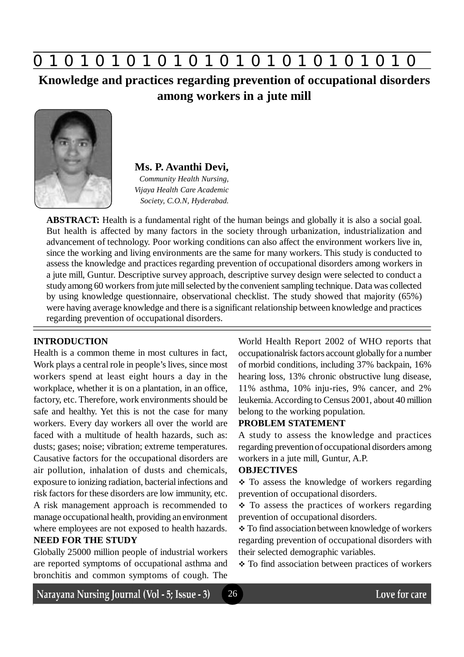

**Knowledge and practices regarding prevention of occupational disorders among workers in a jute mill**



**Ms. P. Avanthi Devi,** *Community Health Nursing,*

*Vijaya Health Care Academic Society, C.O.N, Hyderabad.*

**ABSTRACT:** Health is a fundamental right of the human beings and globally it is also a social goal. But health is affected by many factors in the society through urbanization, industrialization and advancement of technology. Poor working conditions can also affect the environment workers live in, since the working and living environments are the same for many workers. This study is conducted to assess the knowledge and practices regarding prevention of occupational disorders among workers in a jute mill, Guntur. Descriptive survey approach, descriptive survey design were selected to conduct a study among 60 workers from jute mill selected by the convenient sampling technique. Data was collected by using knowledge questionnaire, observational checklist. The study showed that majority (65%) were having average knowledge and there is a significant relationship between knowledge and practices regarding prevention of occupational disorders.

#### **INTRODUCTION**

Health is a common theme in most cultures in fact, Work plays a central role in people's lives, since most workers spend at least eight hours a day in the workplace, whether it is on a plantation, in an office, factory, etc. Therefore, work environments should be safe and healthy. Yet this is not the case for many workers. Every day workers all over the world are faced with a multitude of health hazards, such as: dusts; gases; noise; vibration; extreme temperatures. Causative factors for the occupational disorders are air pollution, inhalation of dusts and chemicals, exposure to ionizing radiation, bacterial infections and risk factors for these disorders are low immunity, etc. A risk management approach is recommended to manage occupational health, providing an environment where employees are not exposed to health hazards.

#### **NEED FOR THE STUDY**

Globally 25000 million people of industrial workers are reported symptoms of occupational asthma and bronchitis and common symptoms of cough. The World Health Report 2002 of WHO reports that occupationalrisk factors account globally for a number of morbid conditions, including 37% backpain, 16% hearing loss, 13% chronic obstructive lung disease, 11% asthma, 10% inju-ries, 9% cancer, and 2% leukemia. According to Census 2001, about 40 million belong to the working population.

#### **PROBLEM STATEMENT**

A study to assess the knowledge and practices regarding prevention of occupational disorders among workers in a jute mill, Guntur, A.P.

#### **OBJECTIVES**

• To assess the knowledge of workers regarding prevention of occupational disorders.

 $\div$  To assess the practices of workers regarding prevention of occupational disorders.

 To find association between knowledge of workers regarding prevention of occupational disorders with their selected demographic variables.

\* To find association between practices of workers

Narayana Nursing Journal (Vol - 5; Issue - 3)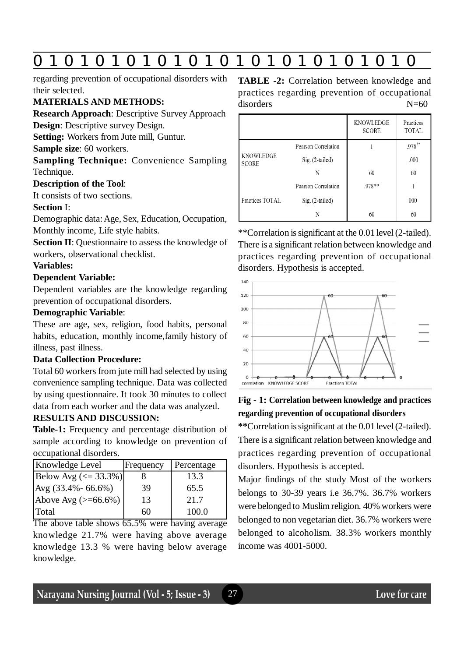# **0 z 0 z 0 z 0 z 0 z 0 z 0 z 0 z 0 z 0 z 0 z 0 z 0**

regarding prevention of occupational disorders with their selected.

#### **MATERIALS AND METHODS:**

**Research Approach**: Descriptive Survey Approach **Design**: Descriptive survey Design.

**Setting:** Workers from Jute mill, Guntur.

**Sample size**: 60 workers.

**Sampling Technique:** Convenience Sampling Technique.

#### **Description of the Tool**:

It consists of two sections.

#### **Section** I:

Demographic data: Age, Sex, Education, Occupation, Monthly income, Life style habits.

**Section II**: Questionnaire to assess the knowledge of workers, observational checklist.

#### **Variables:**

#### **Dependent Variable:**

Dependent variables are the knowledge regarding prevention of occupational disorders.

#### **Demographic Variable**:

These are age, sex, religion, food habits, personal habits, education, monthly income,family history of illness, past illness.

#### **Data Collection Procedure:**

Total 60 workers from jute mill had selected by using convenience sampling technique. Data was collected by using questionnaire. It took 30 minutes to collect data from each worker and the data was analyzed.

#### **RESULTS AND DISCUSSION:**

**Table-1:** Frequency and percentage distribution of sample according to knowledge on prevention of occupational disorders.

| Knowledge Level                 | Frequency | Percentage |
|---------------------------------|-----------|------------|
| $ Below Avg (< = 33.3%) $       |           | 13.3       |
| $\text{Avg } (33.4\% - 66.6\%)$ | 39        | 65.5       |
| Above Avg $(>=66.6\%)$          | 13        | 21.7       |
| Total                           | 60        | 100.0      |

The above table shows 65.5% were having average knowledge 21.7% were having above average knowledge 13.3 % were having below average knowledge.

### **TABLE -2:** Correlation between knowledge and practices regarding prevention of occupational disorders N=60

|                                  |                     | KNOWLEDGE<br><b>SCORE</b> | Practices<br>TOTAL |
|----------------------------------|---------------------|---------------------------|--------------------|
| <b>KNOWLEDGE</b><br><b>SCORE</b> | Pearson Correlation |                           | .978**             |
|                                  | Sig. (2-tailed)     |                           | .000               |
|                                  | N                   | 60                        | 60                 |
| Practices TOTAL                  | Pearson Correlation | .978**                    |                    |
|                                  | $Sig. (2-tailed)$   |                           | 000                |
|                                  | N                   | 60                        | 60                 |

\*\*Correlation is significant at the 0.01 level (2-tailed). There is a significant relation between knowledge and practices regarding prevention of occupational disorders. Hypothesis is accepted.



## **Fig - 1: Correlation between knowledge and practices regarding prevention of occupational disorders**

**\*\***Correlation is significant at the 0.01 level (2-tailed). There is a significant relation between knowledge and practices regarding prevention of occupational disorders. Hypothesis is accepted.

Major findings of the study Most of the workers belongs to 30-39 years i.e 36.7%. 36.7% workers were belonged to Muslim religion. 40% workers were belonged to non vegetarian diet. 36.7% workers were belonged to alcoholism. 38.3% workers monthly income was 4001-5000.

27